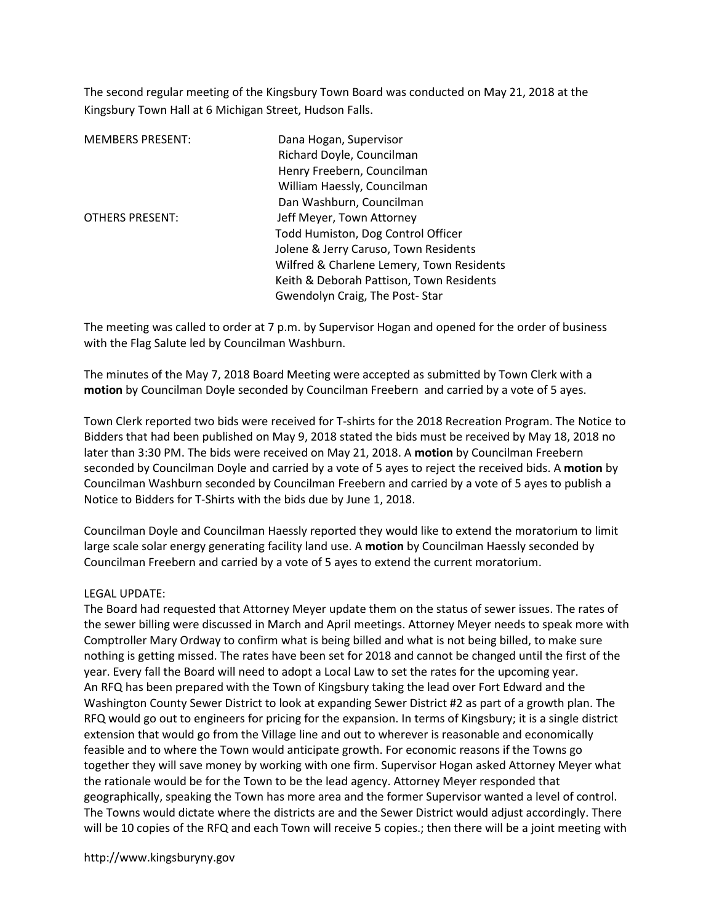The second regular meeting of the Kingsbury Town Board was conducted on May 21, 2018 at the Kingsbury Town Hall at 6 Michigan Street, Hudson Falls.

| <b>MEMBERS PRESENT:</b> | Dana Hogan, Supervisor                    |
|-------------------------|-------------------------------------------|
|                         | Richard Doyle, Councilman                 |
|                         | Henry Freebern, Councilman                |
|                         | William Haessly, Councilman               |
|                         | Dan Washburn, Councilman                  |
| <b>OTHERS PRESENT:</b>  | Jeff Meyer, Town Attorney                 |
|                         | Todd Humiston, Dog Control Officer        |
|                         | Jolene & Jerry Caruso, Town Residents     |
|                         | Wilfred & Charlene Lemery, Town Residents |
|                         | Keith & Deborah Pattison, Town Residents  |
|                         | Gwendolyn Craig, The Post-Star            |

The meeting was called to order at 7 p.m. by Supervisor Hogan and opened for the order of business with the Flag Salute led by Councilman Washburn.

The minutes of the May 7, 2018 Board Meeting were accepted as submitted by Town Clerk with a motion by Councilman Doyle seconded by Councilman Freebern and carried by a vote of 5 ayes.

Town Clerk reported two bids were received for T-shirts for the 2018 Recreation Program. The Notice to Bidders that had been published on May 9, 2018 stated the bids must be received by May 18, 2018 no later than 3:30 PM. The bids were received on May 21, 2018. A motion by Councilman Freebern seconded by Councilman Doyle and carried by a vote of 5 ayes to reject the received bids. A motion by Councilman Washburn seconded by Councilman Freebern and carried by a vote of 5 ayes to publish a Notice to Bidders for T-Shirts with the bids due by June 1, 2018.

Councilman Doyle and Councilman Haessly reported they would like to extend the moratorium to limit large scale solar energy generating facility land use. A motion by Councilman Haessly seconded by Councilman Freebern and carried by a vote of 5 ayes to extend the current moratorium.

# LEGAL UPDATE:

The Board had requested that Attorney Meyer update them on the status of sewer issues. The rates of the sewer billing were discussed in March and April meetings. Attorney Meyer needs to speak more with Comptroller Mary Ordway to confirm what is being billed and what is not being billed, to make sure nothing is getting missed. The rates have been set for 2018 and cannot be changed until the first of the year. Every fall the Board will need to adopt a Local Law to set the rates for the upcoming year. An RFQ has been prepared with the Town of Kingsbury taking the lead over Fort Edward and the Washington County Sewer District to look at expanding Sewer District #2 as part of a growth plan. The RFQ would go out to engineers for pricing for the expansion. In terms of Kingsbury; it is a single district extension that would go from the Village line and out to wherever is reasonable and economically feasible and to where the Town would anticipate growth. For economic reasons if the Towns go together they will save money by working with one firm. Supervisor Hogan asked Attorney Meyer what the rationale would be for the Town to be the lead agency. Attorney Meyer responded that geographically, speaking the Town has more area and the former Supervisor wanted a level of control. The Towns would dictate where the districts are and the Sewer District would adjust accordingly. There will be 10 copies of the RFQ and each Town will receive 5 copies.; then there will be a joint meeting with

http://www.kingsburyny.gov